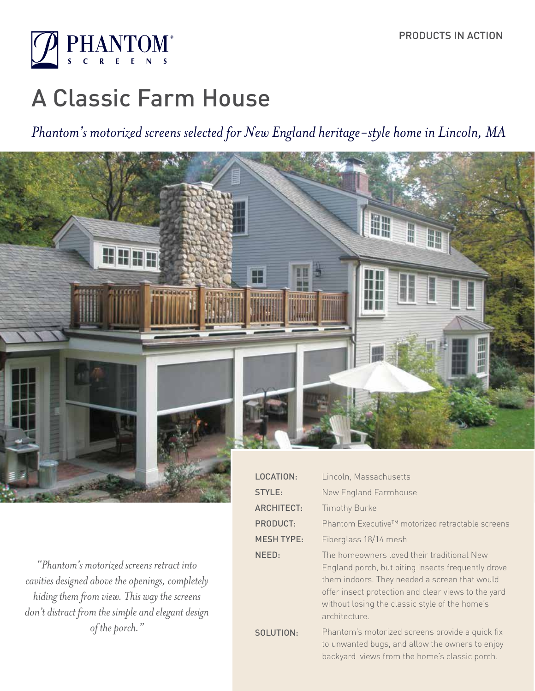

# A Classic Farm House

*Phantom's motorized screens selected for New England heritage-style home in Lincoln, MA*



*"Phantom's motorized screens retract into cavities designed above the openings, completely hiding them from view. This way the screens don't distract from the simple and elegant design of the porch."*

| <b>LOCATION:</b>  | Lincoln, Massachusetts                                                                                                                                                                                                                                                      |
|-------------------|-----------------------------------------------------------------------------------------------------------------------------------------------------------------------------------------------------------------------------------------------------------------------------|
| STYLE:            | New England Farmhouse                                                                                                                                                                                                                                                       |
| <b>ARCHITECT:</b> | <b>Timothy Burke</b>                                                                                                                                                                                                                                                        |
| <b>PRODUCT:</b>   | Phantom Executive™ motorized retractable screens                                                                                                                                                                                                                            |
| <b>MESH TYPE:</b> | Fiberglass 18/14 mesh                                                                                                                                                                                                                                                       |
| NEED:             | The homeowners loved their traditional New<br>England porch, but biting insects frequently drove<br>them indoors. They needed a screen that would<br>offer insect protection and clear views to the yard<br>without losing the classic style of the home's<br>architecture. |
| SOLUTION:         | Phantom's motorized screens provide a quick fix<br>to unwanted bugs, and allow the owners to enjoy<br>backyard views from the home's classic porch.                                                                                                                         |